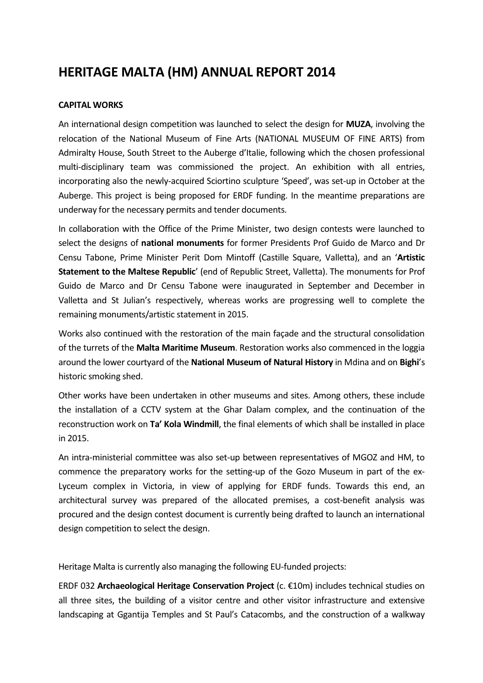# HERITAGE MALTA (HM) ANNUAL REPORT 2014

#### CAPITAL WORKS

An international design competition was launched to select the design for **MUZA**, involving the relocation of the National Museum of Fine Arts (NATIONAL MUSEUM OF FINE ARTS) from Admiralty House, South Street to the Auberge d'Italie, following which the chosen professional multi-disciplinary team was commissioned the project. An exhibition with all entries, incorporating also the newly-acquired Sciortino sculpture 'Speed', was set-up in October at the Auberge. This project is being proposed for ERDF funding. In the meantime preparations are underway for the necessary permits and tender documents.

In collaboration with the Office of the Prime Minister, two design contests were launched to select the designs of national monuments for former Presidents Prof Guido de Marco and Dr Censu Tabone, Prime Minister Perit Dom Mintoff (Castille Square, Valletta), and an 'Artistic Statement to the Maltese Republic' (end of Republic Street, Valletta). The monuments for Prof Guido de Marco and Dr Censu Tabone were inaugurated in September and December in Valletta and St Julian's respectively, whereas works are progressing well to complete the remaining monuments/artistic statement in 2015.

Works also continued with the restoration of the main façade and the structural consolidation of the turrets of the Malta Maritime Museum. Restoration works also commenced in the loggia around the lower courtyard of the National Museum of Natural History in Mdina and on Bighi's historic smoking shed.

Other works have been undertaken in other museums and sites. Among others, these include the installation of a CCTV system at the Ghar Dalam complex, and the continuation of the reconstruction work on Ta' Kola Windmill, the final elements of which shall be installed in place in 2015.

An intra-ministerial committee was also set-up between representatives of MGOZ and HM, to commence the preparatory works for the setting-up of the Gozo Museum in part of the ex-Lyceum complex in Victoria, in view of applying for ERDF funds. Towards this end, an architectural survey was prepared of the allocated premises, a cost-benefit analysis was procured and the design contest document is currently being drafted to launch an international design competition to select the design.

Heritage Malta is currently also managing the following EU-funded projects:

ERDF 032 Archaeological Heritage Conservation Project (c. €10m) includes technical studies on all three sites, the building of a visitor centre and other visitor infrastructure and extensive landscaping at Ggantija Temples and St Paul's Catacombs, and the construction of a walkway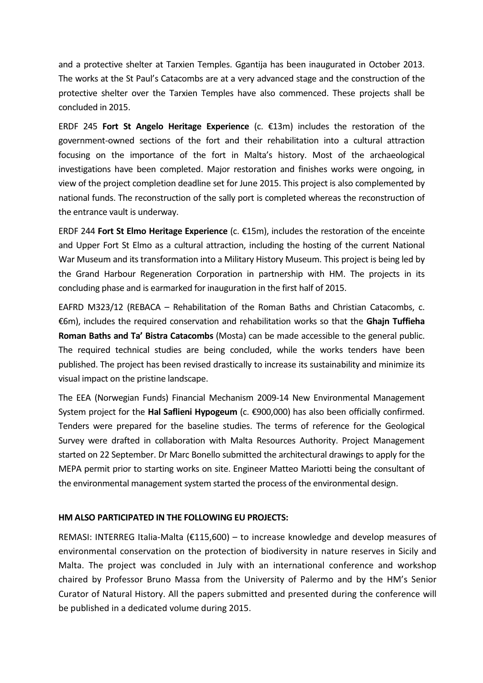and a protective shelter at Tarxien Temples. Ggantija has been inaugurated in October 2013. The works at the St Paul's Catacombs are at a very advanced stage and the construction of the protective shelter over the Tarxien Temples have also commenced. These projects shall be concluded in 2015.

ERDF 245 Fort St Angelo Heritage Experience (c.  $\epsilon$ 13m) includes the restoration of the government-owned sections of the fort and their rehabilitation into a cultural attraction focusing on the importance of the fort in Malta's history. Most of the archaeological investigations have been completed. Major restoration and finishes works were ongoing, in view of the project completion deadline set for June 2015. This project is also complemented by national funds. The reconstruction of the sally port is completed whereas the reconstruction of the entrance vault is underway.

ERDF 244 Fort St Elmo Heritage Experience (c.  $\epsilon$ 15m), includes the restoration of the enceinte and Upper Fort St Elmo as a cultural attraction, including the hosting of the current National War Museum and its transformation into a Military History Museum. This project is being led by the Grand Harbour Regeneration Corporation in partnership with HM. The projects in its concluding phase and is earmarked for inauguration in the first half of 2015.

EAFRD M323/12 (REBACA – Rehabilitation of the Roman Baths and Christian Catacombs, c. €6m), includes the required conservation and rehabilitation works so that the Ghajn Tuffieha Roman Baths and Ta' Bistra Catacombs (Mosta) can be made accessible to the general public. The required technical studies are being concluded, while the works tenders have been published. The project has been revised drastically to increase its sustainability and minimize its visual impact on the pristine landscape.

The EEA (Norwegian Funds) Financial Mechanism 2009-14 New Environmental Management System project for the **Hal Saflieni Hypogeum** (c.  $\epsilon$ 900,000) has also been officially confirmed. Tenders were prepared for the baseline studies. The terms of reference for the Geological Survey were drafted in collaboration with Malta Resources Authority. Project Management started on 22 September. Dr Marc Bonello submitted the architectural drawings to apply for the MEPA permit prior to starting works on site. Engineer Matteo Mariotti being the consultant of the environmental management system started the process of the environmental design.

#### HM ALSO PARTICIPATED IN THE FOLLOWING EU PROJECTS:

REMASI: INTERREG Italia-Malta (€115,600) – to increase knowledge and develop measures of environmental conservation on the protection of biodiversity in nature reserves in Sicily and Malta. The project was concluded in July with an international conference and workshop chaired by Professor Bruno Massa from the University of Palermo and by the HM's Senior Curator of Natural History. All the papers submitted and presented during the conference will be published in a dedicated volume during 2015.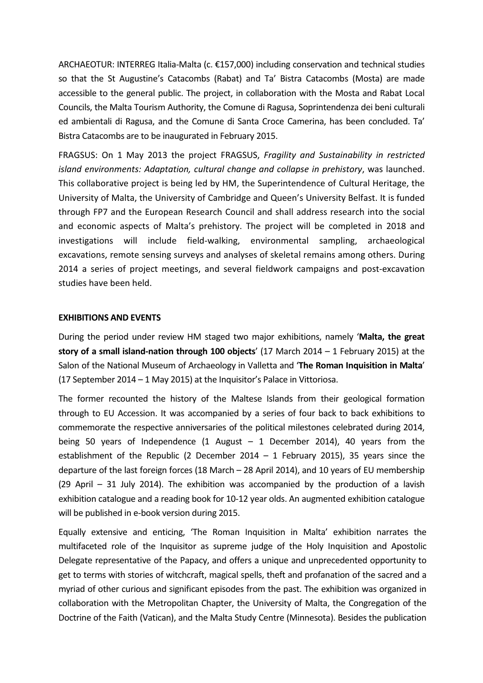ARCHAEOTUR: INTERREG Italia-Malta (c. €157,000) including conservation and technical studies so that the St Augustine's Catacombs (Rabat) and Ta' Bistra Catacombs (Mosta) are made accessible to the general public. The project, in collaboration with the Mosta and Rabat Local Councils, the Malta Tourism Authority, the Comune di Ragusa, Soprintendenza dei beni culturali ed ambientali di Ragusa, and the Comune di Santa Croce Camerina, has been concluded. Ta' Bistra Catacombs are to be inaugurated in February 2015.

FRAGSUS: On 1 May 2013 the project FRAGSUS, Fragility and Sustainability in restricted island environments: Adaptation, cultural change and collapse in prehistory, was launched. This collaborative project is being led by HM, the Superintendence of Cultural Heritage, the University of Malta, the University of Cambridge and Queen's University Belfast. It is funded through FP7 and the European Research Council and shall address research into the social and economic aspects of Malta's prehistory. The project will be completed in 2018 and investigations will include field-walking, environmental sampling, archaeological excavations, remote sensing surveys and analyses of skeletal remains among others. During 2014 a series of project meetings, and several fieldwork campaigns and post-excavation studies have been held.

#### EXHIBITIONS AND EVENTS

During the period under review HM staged two major exhibitions, namely 'Malta, the great story of a small island-nation through 100 objects'  $(17 \text{ March } 2014 - 1 \text{ February } 2015)$  at the Salon of the National Museum of Archaeology in Valletta and 'The Roman Inquisition in Malta' (17 September 2014 – 1 May 2015) at the Inquisitor's Palace in Vittoriosa.

The former recounted the history of the Maltese Islands from their geological formation through to EU Accession. It was accompanied by a series of four back to back exhibitions to commemorate the respective anniversaries of the political milestones celebrated during 2014, being 50 years of Independence (1 August – 1 December 2014), 40 years from the establishment of the Republic (2 December 2014 – 1 February 2015), 35 years since the departure of the last foreign forces (18 March – 28 April 2014), and 10 years of EU membership  $(29$  April – 31 July 2014). The exhibition was accompanied by the production of a lavish exhibition catalogue and a reading book for 10-12 year olds. An augmented exhibition catalogue will be published in e-book version during 2015.

Equally extensive and enticing, 'The Roman Inquisition in Malta' exhibition narrates the multifaceted role of the Inquisitor as supreme judge of the Holy Inquisition and Apostolic Delegate representative of the Papacy, and offers a unique and unprecedented opportunity to get to terms with stories of witchcraft, magical spells, theft and profanation of the sacred and a myriad of other curious and significant episodes from the past. The exhibition was organized in collaboration with the Metropolitan Chapter, the University of Malta, the Congregation of the Doctrine of the Faith (Vatican), and the Malta Study Centre (Minnesota). Besides the publication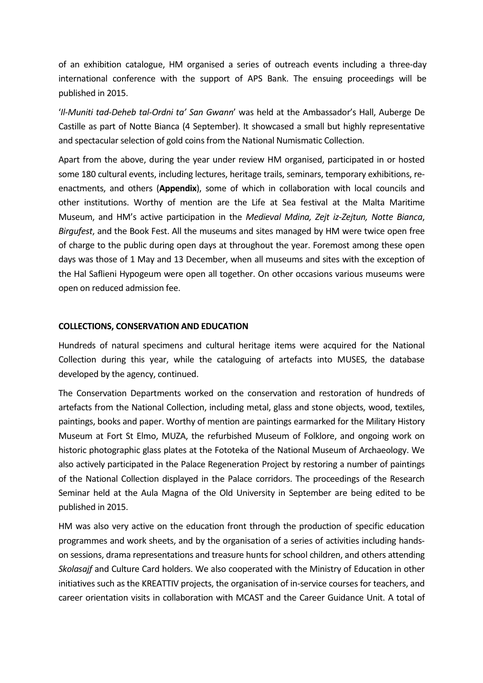of an exhibition catalogue, HM organised a series of outreach events including a three-day international conference with the support of APS Bank. The ensuing proceedings will be published in 2015.

'Il-Muniti tad-Deheb tal-Ordni ta' San Gwann' was held at the Ambassador's Hall, Auberge De Castille as part of Notte Bianca (4 September). It showcased a small but highly representative and spectacular selection of gold coins from the National Numismatic Collection.

Apart from the above, during the year under review HM organised, participated in or hosted some 180 cultural events, including lectures, heritage trails, seminars, temporary exhibitions, reenactments, and others (Appendix), some of which in collaboration with local councils and other institutions. Worthy of mention are the Life at Sea festival at the Malta Maritime Museum, and HM's active participation in the Medieval Mdina, Zejt iz-Zejtun, Notte Bianca, Birgufest, and the Book Fest. All the museums and sites managed by HM were twice open free of charge to the public during open days at throughout the year. Foremost among these open days was those of 1 May and 13 December, when all museums and sites with the exception of the Hal Saflieni Hypogeum were open all together. On other occasions various museums were open on reduced admission fee.

#### COLLECTIONS, CONSERVATION AND EDUCATION

Hundreds of natural specimens and cultural heritage items were acquired for the National Collection during this year, while the cataloguing of artefacts into MUSES, the database developed by the agency, continued.

The Conservation Departments worked on the conservation and restoration of hundreds of artefacts from the National Collection, including metal, glass and stone objects, wood, textiles, paintings, books and paper. Worthy of mention are paintings earmarked for the Military History Museum at Fort St Elmo, MUZA, the refurbished Museum of Folklore, and ongoing work on historic photographic glass plates at the Fototeka of the National Museum of Archaeology. We also actively participated in the Palace Regeneration Project by restoring a number of paintings of the National Collection displayed in the Palace corridors. The proceedings of the Research Seminar held at the Aula Magna of the Old University in September are being edited to be published in 2015.

HM was also very active on the education front through the production of specific education programmes and work sheets, and by the organisation of a series of activities including handson sessions, drama representations and treasure hunts for school children, and others attending Skolasajf and Culture Card holders. We also cooperated with the Ministry of Education in other initiatives such as the KREATTIV projects, the organisation of in-service courses for teachers, and career orientation visits in collaboration with MCAST and the Career Guidance Unit. A total of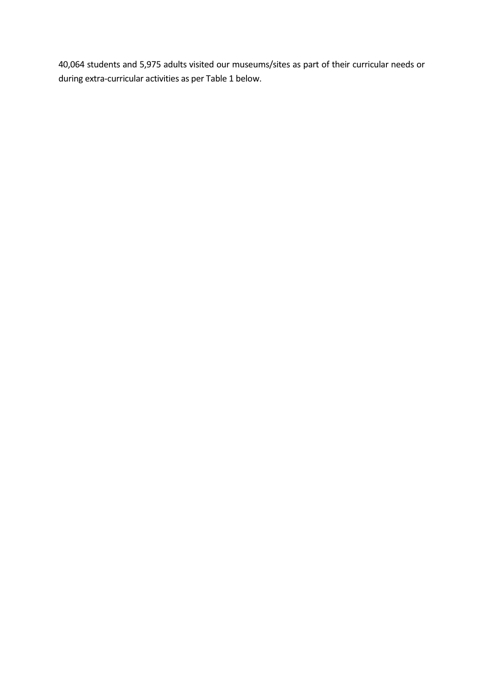40,064 students and 5,975 adults visited our museums/sites as part of their curricular needs or during extra-curricular activities as per Table 1 below.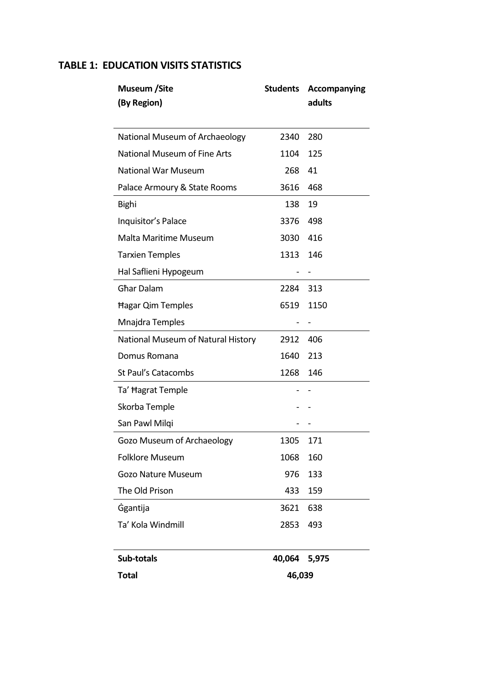## TABLE 1: EDUCATION VISITS STATISTICS

| <b>Museum</b> / Site                | <b>Students</b> | <b>Accompanying</b> |
|-------------------------------------|-----------------|---------------------|
| (By Region)                         |                 | adults              |
| National Museum of Archaeology      | 2340            | 280                 |
| <b>National Museum of Fine Arts</b> | 1104            | 125                 |
| <b>National War Museum</b>          | 268             | 41                  |
| Palace Armoury & State Rooms        | 3616            | 468                 |
| Bighi                               | 138             | 19                  |
| Inquisitor's Palace                 | 3376            | 498                 |
| Malta Maritime Museum               | 3030            | 416                 |
| <b>Tarxien Temples</b>              | 1313            | 146                 |
| Hal Saflieni Hypogeum               |                 |                     |
| <b>Ghar Dalam</b>                   | 2284            | 313                 |
| Hagar Qim Temples                   | 6519            | 1150                |
| Mnajdra Temples                     |                 |                     |
| National Museum of Natural History  | 2912            | 406                 |
| Domus Romana                        | 1640            | 213                 |
| St Paul's Catacombs                 | 1268            | 146                 |
| Ta' Hagrat Temple                   |                 |                     |
| Skorba Temple                       |                 |                     |
| San Pawl Milqi                      |                 |                     |
| Gozo Museum of Archaeology          | 1305            | 171                 |
| <b>Folklore Museum</b>              | 1068            | 160                 |
| <b>Gozo Nature Museum</b>           | 976             | 133                 |
| The Old Prison                      | 433             | 159                 |
| <b>Ggantija</b>                     | 3621            | 638                 |
| Ta' Kola Windmill                   | 2853            | 493                 |
| Sub-totals                          | 40,064          | 5,975               |
| <b>Total</b>                        | 46,039          |                     |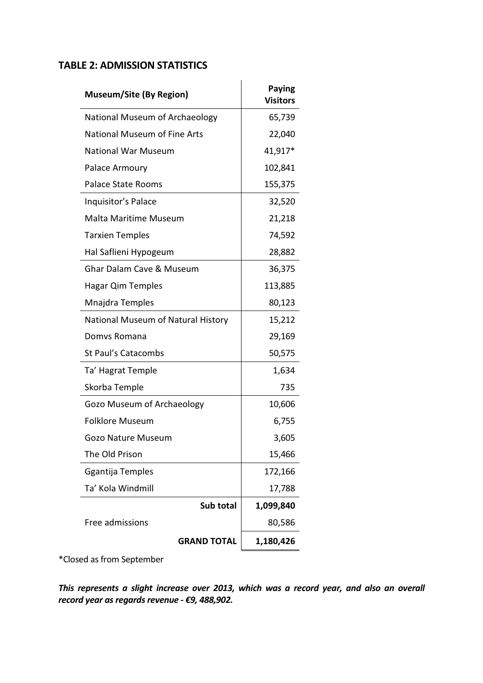## TABLE 2: ADMISSION STATISTICS

| <b>Museum/Site (By Region)</b>      | <b>Paying</b><br><b>Visitors</b> |
|-------------------------------------|----------------------------------|
| National Museum of Archaeology      | 65,739                           |
| <b>National Museum of Fine Arts</b> | 22,040                           |
| <b>National War Museum</b>          | 41,917*                          |
| Palace Armoury                      | 102,841                          |
| Palace State Rooms                  | 155,375                          |
| Inquisitor's Palace                 | 32,520                           |
| <b>Malta Maritime Museum</b>        | 21,218                           |
| <b>Tarxien Temples</b>              | 74,592                           |
| Hal Saflieni Hypogeum               | 28,882                           |
| <b>Ghar Dalam Cave &amp; Museum</b> | 36,375                           |
| Hagar Qim Temples                   | 113,885                          |
| Mnajdra Temples                     | 80,123                           |
| National Museum of Natural History  | 15,212                           |
| Domys Romana                        | 29,169                           |
| St Paul's Catacombs                 | 50,575                           |
| Ta' Hagrat Temple                   | 1,634                            |
| Skorba Temple                       | 735                              |
| <b>Gozo Museum of Archaeology</b>   | 10,606                           |
| <b>Folklore Museum</b>              | 6,755                            |
| Gozo Nature Museum                  | 3,605                            |
| The Old Prison                      | 15,466                           |
| Ggantija Temples                    | 172,166                          |
| Ta' Kola Windmill                   | 17,788                           |
| Sub total                           | 1,099,840                        |
| Free admissions                     | 80,586                           |
| <b>GRAND TOTAL</b>                  | 1,180,426                        |

\*Closed as from September

This represents a slight increase over 2013, which was a record year, and also an overall record year as regards revenue - €9, 488,902.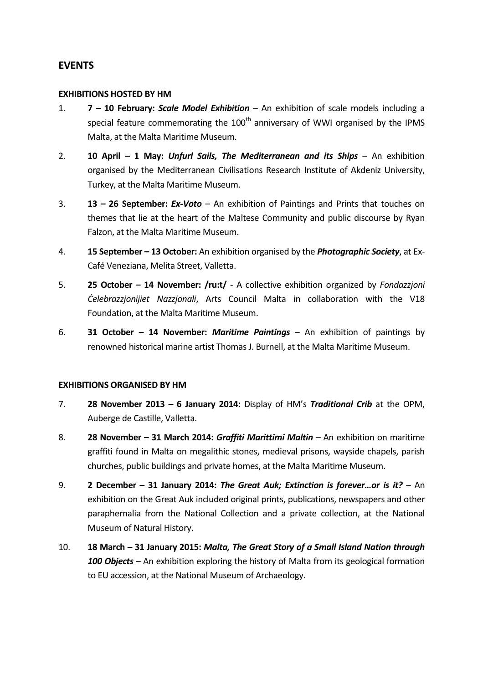## **EVENTS**

#### EXHIBITIONS HOSTED BY HM

- 1.  $7 10$  February: Scale Model Exhibition An exhibition of scale models including a special feature commemorating the  $100<sup>th</sup>$  anniversary of WWI organised by the IPMS Malta, at the Malta Maritime Museum.
- 2. 10 April 1 May: Unfurl Sails, The Mediterranean and its Ships An exhibition organised by the Mediterranean Civilisations Research Institute of Akdeniz University, Turkey, at the Malta Maritime Museum.
- 3.  $13 26$  September: Ex-Voto An exhibition of Paintings and Prints that touches on themes that lie at the heart of the Maltese Community and public discourse by Ryan Falzon, at the Malta Maritime Museum.
- 4. **15 September 13 October:** An exhibition organised by the *Photographic Society*, at Ex-Café Veneziana, Melita Street, Valletta.
- 5. **25 October 14 November: /ru:t/** A collective exhibition organized by *Fondazzjoni* Ċelebrazzjonijiet Nazzjonali, Arts Council Malta in collaboration with the V18 Foundation, at the Malta Maritime Museum.
- 6. 31 October 14 November: Maritime Paintings An exhibition of paintings by renowned historical marine artist Thomas J. Burnell, at the Malta Maritime Museum.

#### EXHIBITIONS ORGANISED BY HM

- 7. 28 November 2013 6 January 2014: Display of HM's Traditional Crib at the OPM, Auberge de Castille, Valletta.
- 8. 28 November 31 March 2014: Graffiti Marittimi Maltin An exhibition on maritime graffiti found in Malta on megalithic stones, medieval prisons, wayside chapels, parish churches, public buildings and private homes, at the Malta Maritime Museum.
- 9. 2 December 31 January 2014: The Great Auk; Extinction is forever...or is it? An exhibition on the Great Auk included original prints, publications, newspapers and other paraphernalia from the National Collection and a private collection, at the National Museum of Natural History.
- 10. 18 March 31 January 2015: Malta, The Great Story of a Small Island Nation through 100 Objects – An exhibition exploring the history of Malta from its geological formation to EU accession, at the National Museum of Archaeology.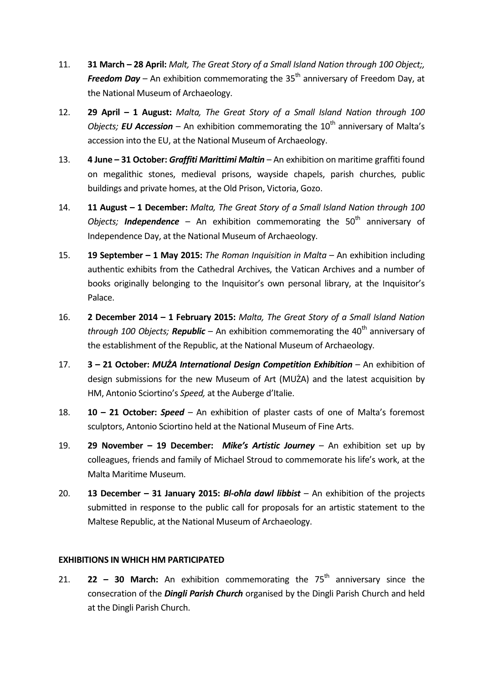- 11. **31 March 28 April:** Malt, The Great Story of a Small Island Nation through 100 Object;, **Freedom Day** – An exhibition commemorating the 35<sup>th</sup> anniversary of Freedom Day, at the National Museum of Archaeology.
- 12. 29 April 1 August: Malta, The Great Story of a Small Island Nation through 100 *Objects; EU Accession* – An exhibition commemorating the  $10<sup>th</sup>$  anniversary of Malta's accession into the EU, at the National Museum of Archaeology.
- 13. 4 June 31 October: Graffiti Marittimi Maltin An exhibition on maritime graffiti found on megalithic stones, medieval prisons, wayside chapels, parish churches, public buildings and private homes, at the Old Prison, Victoria, Gozo.
- 14. **11 August 1 December:** Malta, The Great Story of a Small Island Nation through 100 Objects; **Independence** – An exhibition commemorating the 50<sup>th</sup> anniversary of Independence Day, at the National Museum of Archaeology.
- 15. **19 September 1 May 2015:** The Roman Inquisition in Malta An exhibition including authentic exhibits from the Cathedral Archives, the Vatican Archives and a number of books originally belonging to the Inquisitor's own personal library, at the Inquisitor's Palace.
- 16. 2 December 2014 1 February 2015: Malta, The Great Story of a Small Island Nation through 100 Objects; **Republic** – An exhibition commemorating the 40<sup>th</sup> anniversary of the establishment of the Republic, at the National Museum of Archaeology.
- 17. 3 21 October: MUZA International Design Competition Exhibition An exhibition of design submissions for the new Museum of Art (MUŻA) and the latest acquisition by HM, Antonio Sciortino's Speed, at the Auberge d'Italie.
- 18. **10 21 October: Speed** An exhibition of plaster casts of one of Malta's foremost sculptors, Antonio Sciortino held at the National Museum of Fine Arts.
- 19. 29 November 19 December: Mike's Artistic Journey An exhibition set up by colleagues, friends and family of Michael Stroud to commemorate his life's work, at the Malta Maritime Museum.
- 20. **13 December 31 January 2015: BI-ohla dawl libbist** An exhibition of the projects submitted in response to the public call for proposals for an artistic statement to the Maltese Republic, at the National Museum of Archaeology.

### EXHIBITIONS IN WHICH HM PARTICIPATED

21. **22 – 30 March:** An exhibition commemorating the  $75<sup>th</sup>$  anniversary since the consecration of the *Dingli Parish Church* organised by the Dingli Parish Church and held at the Dingli Parish Church.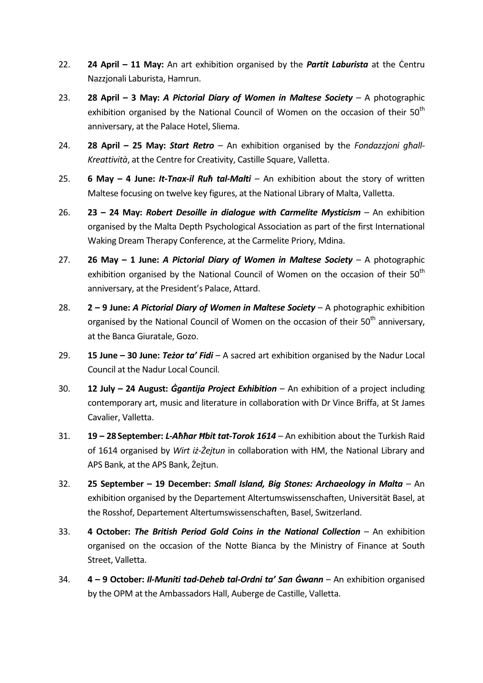- 22. **24 April 11 May:** An art exhibition organised by the **Partit Laburista** at the Centru Nazzjonali Laburista, Hamrun.
- 23. **28 April 3 May: A Pictorial Diary of Women in Maltese Society –** A photographic exhibition organised by the National Council of Women on the occasion of their  $50<sup>th</sup>$ anniversary, at the Palace Hotel, Sliema.
- 24. **28 April 25 May: Start Retro** An exhibition organised by the *Fondazzjoni ghall-*Kreattività, at the Centre for Creativity, Castille Square, Valletta.
- 25. 6 May 4 June: It-Tnax-il Ruh tal-Malti An exhibition about the story of written Maltese focusing on twelve key figures, at the National Library of Malta, Valletta.
- 26. **23 24 May: Robert Desoille in dialogue with Carmelite Mysticism** An exhibition organised by the Malta Depth Psychological Association as part of the first International Waking Dream Therapy Conference, at the Carmelite Priory, Mdina.
- 27. 26 May 1 June: A Pictorial Diary of Women in Maltese Society A photographic exhibition organised by the National Council of Women on the occasion of their  $50<sup>th</sup>$ anniversary, at the President's Palace, Attard.
- 28. **2 9 June: A Pictorial Diary of Women in Maltese Society –** A photographic exhibition organised by the National Council of Women on the occasion of their 50<sup>th</sup> anniversarv. at the Banca Giuratale, Gozo.
- 29. **15 June 30 June: Teżor ta' Fidi** A sacred art exhibition organised by the Nadur Local Council at the Nadur Local Council.
- 30. **12 July 24 August: Ggantija Project Exhibition** An exhibition of a project including contemporary art, music and literature in collaboration with Dr Vince Briffa, at St James Cavalier, Valletta.
- 31. **19 28 September:** *L-Aħħar Ħbit tat-Torok 1614* **An exhibition about the Turkish Raid** of 1614 organised by Wirt iż-Żejtun in collaboration with HM, the National Library and APS Bank, at the APS Bank, Żejtun.
- 32. 25 September 19 December: Small Island, Big Stones: Archaeology in Malta An exhibition organised by the Departement Altertumswissenschaften, Universität Basel, at the Rosshof, Departement Altertumswissenschaften, Basel, Switzerland.
- 33. 4 October: The British Period Gold Coins in the National Collection An exhibition organised on the occasion of the Notte Bianca by the Ministry of Finance at South Street, Valletta.
- 34. 4 9 October: Il-Muniti tad-Deheb tal-Ordni ta' San Gwann An exhibition organised by the OPM at the Ambassadors Hall, Auberge de Castille, Valletta.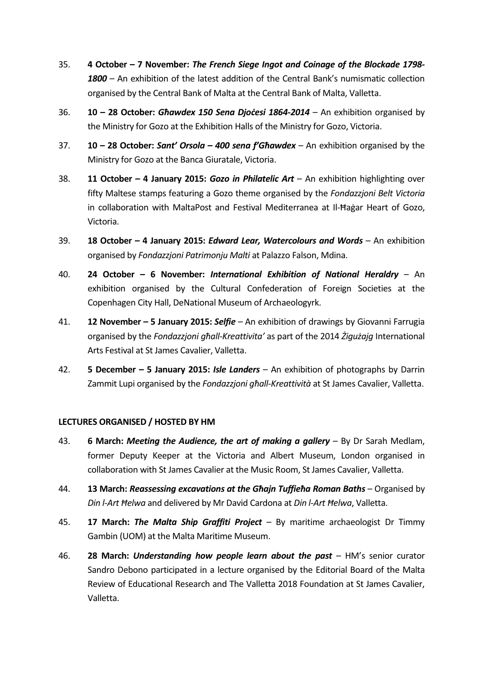- 35. 4 October 7 November: The French Siege Ingot and Coinage of the Blockade 1798- 1800 – An exhibition of the latest addition of the Central Bank's numismatic collection organised by the Central Bank of Malta at the Central Bank of Malta, Valletta.
- 36.  $10 28$  October: Ghawdex 150 Sena Diocesi 1864-2014 An exhibition organised by the Ministry for Gozo at the Exhibition Halls of the Ministry for Gozo, Victoria.
- 37. **10 28 October: Sant' Orsola 400 sena f'Ghawdex** An exhibition organised by the Ministry for Gozo at the Banca Giuratale, Victoria.
- 38. **11 October 4 January 2015: Gozo in Philatelic Art** An exhibition highlighting over fifty Maltese stamps featuring a Gozo theme organised by the Fondazzjoni Belt Victoria in collaboration with MaltaPost and Festival Mediterranea at Il-Ħaġar Heart of Gozo, Victoria.
- 39. **18 October 4 January 2015: Edward Lear, Watercolours and Words –** An exhibition organised by Fondazzjoni Patrimonju Malti at Palazzo Falson, Mdina.
- 40. 24 October 6 November: International Exhibition of National Heraldry An exhibition organised by the Cultural Confederation of Foreign Societies at the Copenhagen City Hall, DeNational Museum of Archaeologyrk.
- 41. **12 November 5 January 2015: Selfie** An exhibition of drawings by Giovanni Farrugia organised by the Fondazzjoni għall-Kreattivita' as part of the 2014 Żigużają International Arts Festival at St James Cavalier, Valletta.
- 42. **5 December 5 January 2015: Isle Landers** An exhibition of photographs by Darrin Zammit Lupi organised by the *Fondazzjoni għall-Kreattività* at St James Cavalier, Valletta.

#### LECTURES ORGANISED / HOSTED BY HM

- 43. 6 March: *Meeting the Audience, the art of making a gallery –* By Dr Sarah Medlam, former Deputy Keeper at the Victoria and Albert Museum, London organised in collaboration with St James Cavalier at the Music Room, St James Cavalier, Valletta.
- 44. **13 March: Reassessing excavations at the Ghajn Tuffieha Roman Baths** Organised by Din l-Art Ħelwa and delivered by Mr David Cardona at Din l-Art Ħelwa, Valletta.
- 45. 17 March: The Malta Ship Graffiti Project By maritime archaeologist Dr Timmy Gambin (UOM) at the Malta Maritime Museum.
- 46. **28 March: Understanding how people learn about the past**  $-$  HM's senior curator Sandro Debono participated in a lecture organised by the Editorial Board of the Malta Review of Educational Research and The Valletta 2018 Foundation at St James Cavalier, Valletta.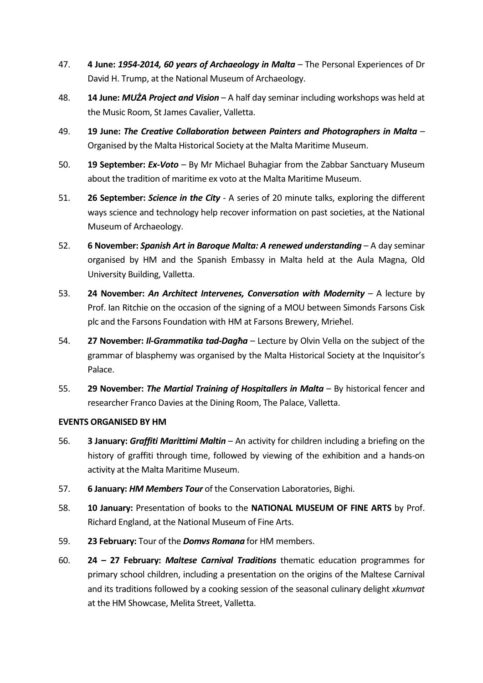- 47. 4 June: 1954-2014, 60 years of Archaeology in Malta The Personal Experiences of Dr David H. Trump, at the National Museum of Archaeology.
- 48. **14 June: MUŻA Project and Vision** A half day seminar including workshops was held at the Music Room, St James Cavalier, Valletta.
- 49. 19 June: The Creative Collaboration between Painters and Photographers in Malta Organised by the Malta Historical Society at the Malta Maritime Museum.
- 50. **19 September: Ex-Voto** By Mr Michael Buhagiar from the Zabbar Sanctuary Museum about the tradition of maritime ex voto at the Malta Maritime Museum.
- 51. **26 September: Science in the City** A series of 20 minute talks, exploring the different ways science and technology help recover information on past societies, at the National Museum of Archaeology.
- 52. 6 November: Spanish Art in Baroque Malta: A renewed understanding A day seminar organised by HM and the Spanish Embassy in Malta held at the Aula Magna, Old University Building, Valletta.
- 53. 24 November: An Architect Intervenes, Conversation with Modernity  $-$  A lecture by Prof. Ian Ritchie on the occasion of the signing of a MOU between Simonds Farsons Cisk plc and the Farsons Foundation with HM at Farsons Brewery, Mrieħel.
- 54. 27 November: Il-Grammatika tad-Dagha Lecture by Olvin Vella on the subject of the grammar of blasphemy was organised by the Malta Historical Society at the Inquisitor's Palace.
- 55. 29 November: The Martial Training of Hospitallers in Malta By historical fencer and researcher Franco Davies at the Dining Room, The Palace, Valletta.

#### EVENTS ORGANISED BY HM

- 56. **3 January:** *Graffiti Marittimi Maltin* An activity for children including a briefing on the history of graffiti through time, followed by viewing of the exhibition and a hands-on activity at the Malta Maritime Museum.
- 57. 6 January: HM Members Tour of the Conservation Laboratories, Bighi.
- 58. 10 January: Presentation of books to the NATIONAL MUSEUM OF FINE ARTS by Prof. Richard England, at the National Museum of Fine Arts.
- 59. 23 February: Tour of the *Domvs Romana* for HM members.
- 60. **24 27 February: Maltese Carnival Traditions** thematic education programmes for primary school children, including a presentation on the origins of the Maltese Carnival and its traditions followed by a cooking session of the seasonal culinary delight xkumvat at the HM Showcase, Melita Street, Valletta.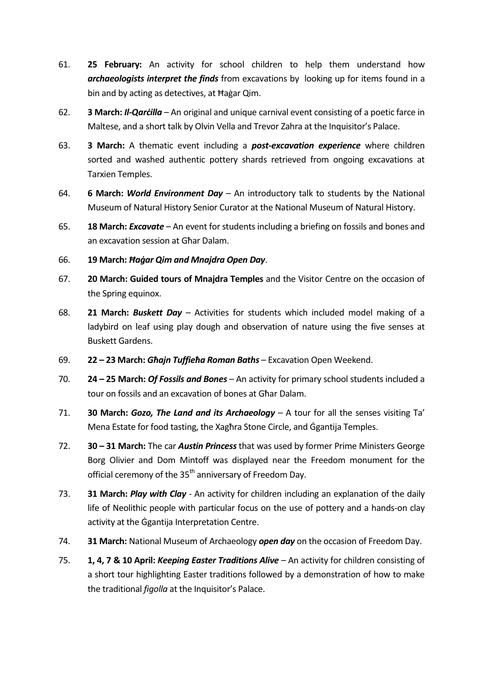- 61. 25 February: An activity for school children to help them understand how **archaeologists interpret the finds** from excavations by looking up for items found in a bin and by acting as detectives, at Ħaġar Qim.
- 62. **3 March: Il-Qarcilla** An original and unique carnival event consisting of a poetic farce in Maltese, and a short talk by Olvin Vella and Trevor Zahra at the Inquisitor's Palace.
- 63. 3 March: A thematic event including a **post-excavation experience** where children sorted and washed authentic pottery shards retrieved from ongoing excavations at Tarxien Temples.
- 64. 6 March: World Environment Day An introductory talk to students by the National Museum of Natural History Senior Curator at the National Museum of Natural History.
- 65. **18 March: Excavate** An event for students including a briefing on fossils and bones and an excavation session at Għar Dalam.
- 66. 19 March: Ħaġar Qim and Mnajdra Open Day.
- 67. 20 March: Guided tours of Mnajdra Temples and the Visitor Centre on the occasion of the Spring equinox.
- 68. **21 March: Buskett Day** Activities for students which included model making of a ladybird on leaf using play dough and observation of nature using the five senses at Buskett Gardens.
- 69. 22 23 March: Għajn Tuffieħa Roman Baths Excavation Open Weekend.
- 70. **24 25 March: Of Fossils and Bones** An activity for primary school students included a tour on fossils and an excavation of bones at Għar Dalam.
- 71. **30 March: Gozo, The Land and its Archaeology**  $A$  tour for all the senses visiting Ta' Mena Estate for food tasting, the Xagħra Stone Circle, and Ġgantija Temples.
- 72. 30 31 March: The car Austin Princess that was used by former Prime Ministers George Borg Olivier and Dom Mintoff was displayed near the Freedom monument for the official ceremony of the 35<sup>th</sup> anniversary of Freedom Day.
- 73. 31 March: Play with Clay An activity for children including an explanation of the daily life of Neolithic people with particular focus on the use of pottery and a hands-on clay activity at the Ġgantija Interpretation Centre.
- 74. 31 March: National Museum of Archaeology open day on the occasion of Freedom Day.
- 75. **1, 4, 7 & 10 April: Keeping Easter Traditions Alive** An activity for children consisting of a short tour highlighting Easter traditions followed by a demonstration of how to make the traditional figolla at the Inquisitor's Palace.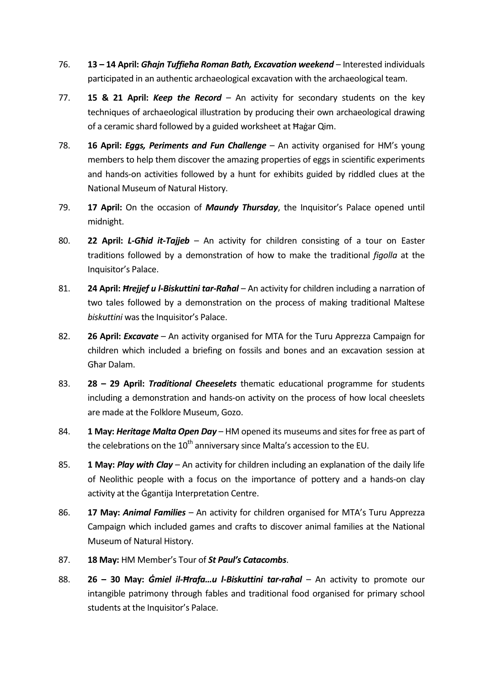- 76. **13 14 April: Ghajn Tuffieha Roman Bath, Excavation weekend** Interested individuals participated in an authentic archaeological excavation with the archaeological team.
- 77. **15 & 21 April: Keep the Record** An activity for secondary students on the key techniques of archaeological illustration by producing their own archaeological drawing of a ceramic shard followed by a guided worksheet at Ħaġar Qim.
- 78. **16 April: Eggs, Periments and Fun Challenge** An activity organised for HM's young members to help them discover the amazing properties of eggs in scientific experiments and hands-on activities followed by a hunt for exhibits guided by riddled clues at the National Museum of Natural History.
- 79. 17 April: On the occasion of Maundy Thursday, the Inquisitor's Palace opened until midnight.
- 80. **22 April: L-Ghid it-Tajjeb** An activity for children consisting of a tour on Easter traditions followed by a demonstration of how to make the traditional figolla at the Inquisitor's Palace.
- 81. 24 April: *Hrejjef u l-Biskuttini tar-Raħal* An activity for children including a narration of two tales followed by a demonstration on the process of making traditional Maltese biskuttini was the Inquisitor's Palace.
- 82. **26 April: Excavate** An activity organised for MTA for the Turu Apprezza Campaign for children which included a briefing on fossils and bones and an excavation session at Għar Dalam.
- 83. **28 29 April: Traditional Cheeselets** thematic educational programme for students including a demonstration and hands-on activity on the process of how local cheeslets are made at the Folklore Museum, Gozo.
- 84. 1 May: *Heritage Malta Open Day* HM opened its museums and sites for free as part of the celebrations on the  $10^{th}$  anniversary since Malta's accession to the EU.
- 85. **1 May: Play with Clay** An activity for children including an explanation of the daily life of Neolithic people with a focus on the importance of pottery and a hands-on clay activity at the Ġgantija Interpretation Centre.
- 86. **17 May: Animal Families** An activity for children organised for MTA's Turu Apprezza Campaign which included games and crafts to discover animal families at the National Museum of Natural History.
- 87. **18 May:** HM Member's Tour of St Paul's Catacombs.
- 88. **26 30 May: Gmiel il-Hrafa...u l-Biskuttini tar-raħal** An activity to promote our intangible patrimony through fables and traditional food organised for primary school students at the Inquisitor's Palace.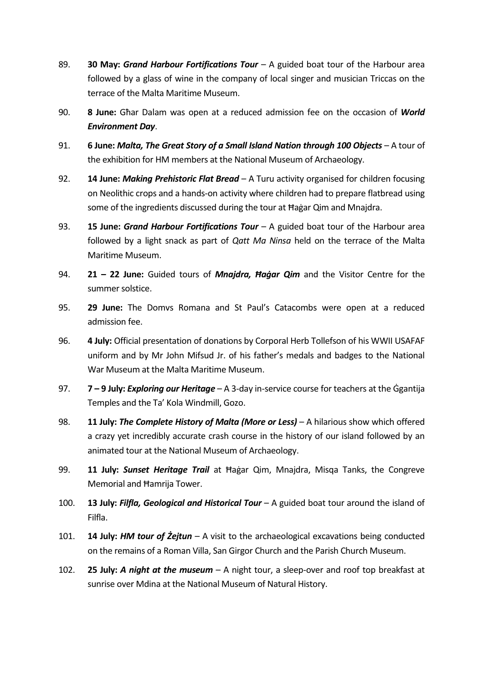- 89. 30 May: Grand Harbour Fortifications Tour  $-$  A guided boat tour of the Harbour area followed by a glass of wine in the company of local singer and musician Triccas on the terrace of the Malta Maritime Museum.
- 90. 8 June: Ghar Dalam was open at a reduced admission fee on the occasion of World Environment Day.
- 91. 6 June: Malta, The Great Story of a Small Island Nation through 100 Objects A tour of the exhibition for HM members at the National Museum of Archaeology.
- 92. 14 June: Making Prehistoric Flat Bread A Turu activity organised for children focusing on Neolithic crops and a hands-on activity where children had to prepare flatbread using some of the ingredients discussed during the tour at Ħaġar Qim and Mnajdra.
- 93. **15 June: Grand Harbour Fortifications Tour**  $-$  A guided boat tour of the Harbour area followed by a light snack as part of *Qatt Ma Ninsa* held on the terrace of the Malta Maritime Museum.
- 94. **21 22 June:** Guided tours of *Mnajdra, Hagar Qim* and the Visitor Centre for the summer solstice.
- 95. 29 June: The Domvs Romana and St Paul's Catacombs were open at a reduced admission fee.
- 96. 4 July: Official presentation of donations by Corporal Herb Tollefson of his WWII USAFAF uniform and by Mr John Mifsud Jr. of his father's medals and badges to the National War Museum at the Malta Maritime Museum.
- 97.  $7 9$  July: Exploring our Heritage A 3-day in-service course for teachers at the Ggantija Temples and the Ta' Kola Windmill, Gozo.
- 98. 11 July: The Complete History of Malta (More or Less) A hilarious show which offered a crazy yet incredibly accurate crash course in the history of our island followed by an animated tour at the National Museum of Archaeology.
- 99. 11 July: Sunset Heritage Trail at Hagar Qim, Mnajdra, Misga Tanks, the Congreve Memorial and Ħamrija Tower.
- 100. 13 July: Filfla, Geological and Historical Tour  $A$  guided boat tour around the island of Filfla.
- 101. **14 July: HM tour of Żejtun** A visit to the archaeological excavations being conducted on the remains of a Roman Villa, San Girgor Church and the Parish Church Museum.
- 102. 25 July: A night at the museum  $A$  night tour, a sleep-over and roof top breakfast at sunrise over Mdina at the National Museum of Natural History.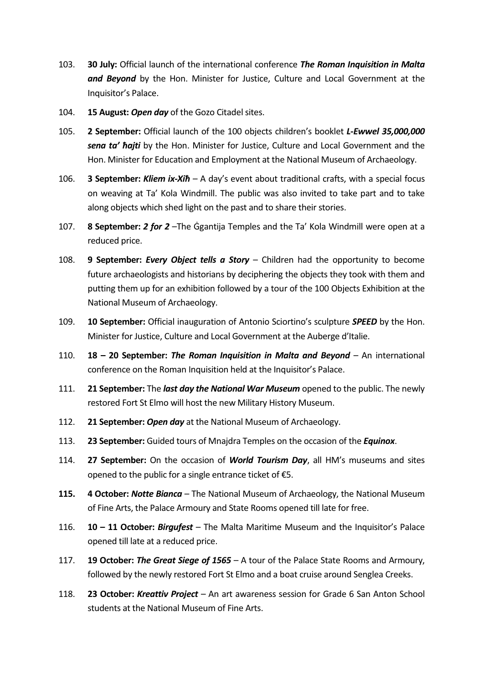- 103. 30 July: Official launch of the international conference The Roman Inquisition in Malta and Beyond by the Hon. Minister for Justice, Culture and Local Government at the Inquisitor's Palace.
- 104. 15 August: Open day of the Gozo Citadel sites.
- 105. 2 September: Official launch of the 100 objects children's booklet L-Ewwel 35,000,000 sena ta' hajti by the Hon. Minister for Justice, Culture and Local Government and the Hon. Minister for Education and Employment at the National Museum of Archaeology.
- 106. **3 September: Kliem ix-Xih** A day's event about traditional crafts, with a special focus on weaving at Ta' Kola Windmill. The public was also invited to take part and to take along objects which shed light on the past and to share their stories.
- 107. **8 September: 2 for 2** The Ggantija Temples and the Ta' Kola Windmill were open at a reduced price.
- 108. 9 September: Every Object tells  $a$  Story Children had the opportunity to become future archaeologists and historians by deciphering the objects they took with them and putting them up for an exhibition followed by a tour of the 100 Objects Exhibition at the National Museum of Archaeology.
- 109. **10 September:** Official inauguration of Antonio Sciortino's sculpture **SPEED** by the Hon. Minister for Justice, Culture and Local Government at the Auberge d'Italie.
- 110. **18 20 September: The Roman Inquisition in Malta and Bevond** An international conference on the Roman Inquisition held at the Inquisitor's Palace.
- 111. 21 September: The last day the National War Museum opened to the public. The newly restored Fort St Elmo will host the new Military History Museum.
- 112. 21 September: Open day at the National Museum of Archaeology.
- 113. 23 September: Guided tours of Mnajdra Temples on the occasion of the Equinox.
- 114. 27 September: On the occasion of World Tourism Day, all HM's museums and sites opened to the public for a single entrance ticket of €5.
- 115. 4 October: Notte Bianca The National Museum of Archaeology, the National Museum of Fine Arts, the Palace Armoury and State Rooms opened till late for free.
- 116.  $10 11$  October: Birgufest The Malta Maritime Museum and the Inquisitor's Palace opened till late at a reduced price.
- 117. **19 October: The Great Siege of 1565** A tour of the Palace State Rooms and Armoury, followed by the newly restored Fort St Elmo and a boat cruise around Senglea Creeks.
- 118. **23 October: Kreattiv Project** An art awareness session for Grade 6 San Anton School students at the National Museum of Fine Arts.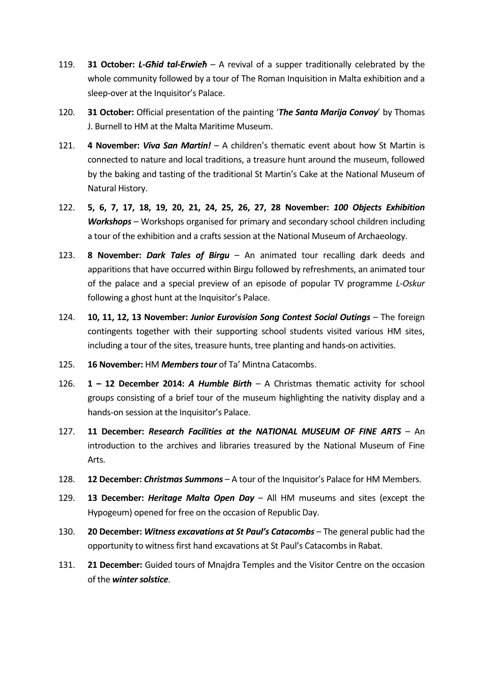- 119. **31 October: L-Ghid tal-Erwieh** A revival of a supper traditionally celebrated by the whole community followed by a tour of The Roman Inquisition in Malta exhibition and a sleep-over at the Inquisitor's Palace.
- 120. **31 October:** Official presentation of the painting '*The Santa Marija Convov'* by Thomas J. Burnell to HM at the Malta Maritime Museum.
- 121. 4 November: *Viva San Martin!* A children's thematic event about how St Martin is connected to nature and local traditions, a treasure hunt around the museum, followed by the baking and tasting of the traditional St Martin's Cake at the National Museum of Natural History.
- 122. 5, 6, 7, 17, 18, 19, 20, 21, 24, 25, 26, 27, 28 November: 100 Objects Exhibition Workshops – Workshops organised for primary and secondary school children including a tour of the exhibition and a crafts session at the National Museum of Archaeology.
- 123. 8 November: Dark Tales of Birgu An animated tour recalling dark deeds and apparitions that have occurred within Birgu followed by refreshments, an animated tour of the palace and a special preview of an episode of popular TV programme L-Oskur following a ghost hunt at the Inquisitor's Palace.
- 124. **10, 11, 12, 13 November: Junior Eurovision Song Contest Social Outings** The foreign contingents together with their supporting school students visited various HM sites, including a tour of the sites, treasure hunts, tree planting and hands-on activities.
- 125. **16 November: HM Members tour** of Ta' Mintna Catacombs.
- 126. **1 12 December 2014: A Humble Birth –** A Christmas thematic activity for school groups consisting of a brief tour of the museum highlighting the nativity display and a hands-on session at the Inquisitor's Palace.
- 127. 11 December: Research Facilities at the NATIONAL MUSEUM OF FINE ARTS An introduction to the archives and libraries treasured by the National Museum of Fine Arts.
- 128. 12 December: Christmas Summons A tour of the Inquisitor's Palace for HM Members.
- 129. 13 December: Heritage Malta Open Day  $-$  All HM museums and sites (except the Hypogeum) opened for free on the occasion of Republic Day.
- 130. 20 December: Witness excavations at St Paul's Catacombs The general public had the opportunity to witness first hand excavations at St Paul's Catacombs in Rabat.
- 131. **21 December:** Guided tours of Mnajdra Temples and the Visitor Centre on the occasion of the winter solstice.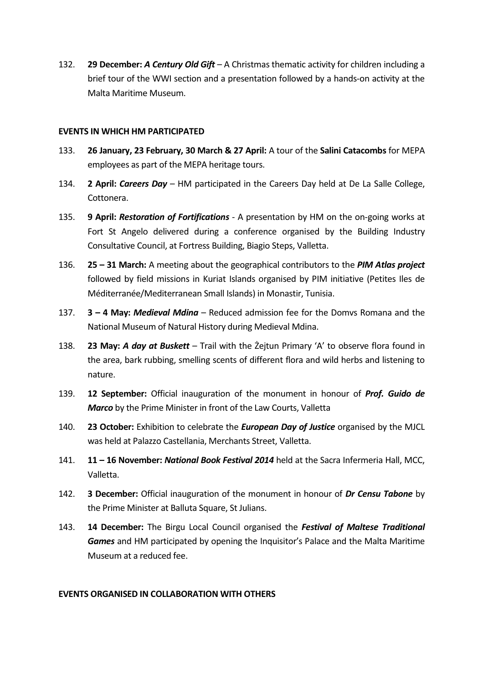132. **29 December: A Century Old Gift** – A Christmas thematic activity for children including a brief tour of the WWI section and a presentation followed by a hands-on activity at the Malta Maritime Museum.

#### EVENTS IN WHICH HM PARTICIPATED

- 133. 26 January, 23 February, 30 March & 27 April: A tour of the Salini Catacombs for MEPA employees as part of the MEPA heritage tours.
- 134. **2 April: Careers Day** HM participated in the Careers Day held at De La Salle College. Cottonera.
- 135. 9 April: Restoration of Fortifications A presentation by HM on the on-going works at Fort St Angelo delivered during a conference organised by the Building Industry Consultative Council, at Fortress Building, Biagio Steps, Valletta.
- 136. 25 31 March: A meeting about the geographical contributors to the PIM Atlas project followed by field missions in Kuriat Islands organised by PIM initiative (Petites Iles de Méditerranée/Mediterranean Small Islands) in Monastir, Tunisia.
- 137.  $3 4$  May: *Medieval Mdina* Reduced admission fee for the Domys Romana and the National Museum of Natural History during Medieval Mdina.
- 138. **23 May: A day at Buskett** Trail with the Żejtun Primary 'A' to observe flora found in the area, bark rubbing, smelling scents of different flora and wild herbs and listening to nature.
- 139. **12 September:** Official inauguration of the monument in honour of *Prof. Guido de* Marco by the Prime Minister in front of the Law Courts, Valletta
- 140. 23 October: Exhibition to celebrate the *European Day of Justice* organised by the MJCL was held at Palazzo Castellania, Merchants Street, Valletta.
- 141. 11 16 November: National Book Festival 2014 held at the Sacra Infermeria Hall, MCC, Valletta.
- 142. 3 December: Official inauguration of the monument in honour of Dr Censu Tabone by the Prime Minister at Balluta Square, St Julians.
- 143. 14 December: The Birgu Local Council organised the Festival of Maltese Traditional Games and HM participated by opening the Inquisitor's Palace and the Malta Maritime Museum at a reduced fee.

#### EVENTS ORGANISED IN COLLABORATION WITH OTHERS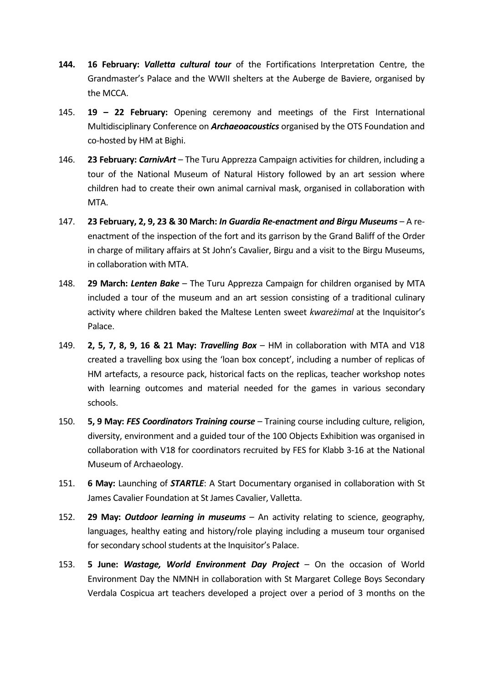- 144. 16 February: Valletta cultural tour of the Fortifications Interpretation Centre, the Grandmaster's Palace and the WWII shelters at the Auberge de Baviere, organised by the MCCA.
- 145. 19 22 February: Opening ceremony and meetings of the First International Multidisciplinary Conference on **Archaeoacoustics** organised by the OTS Foundation and co-hosted by HM at Bighi.
- 146. **23 February: CarnivArt** The Turu Apprezza Campaign activities for children, including a tour of the National Museum of Natural History followed by an art session where children had to create their own animal carnival mask, organised in collaboration with MTA.
- 147. 23 February, 2, 9, 23 & 30 March: In Guardia Re-enactment and Birgu Museums A reenactment of the inspection of the fort and its garrison by the Grand Baliff of the Order in charge of military affairs at St John's Cavalier, Birgu and a visit to the Birgu Museums, in collaboration with MTA.
- 148. **29 March: Lenten Bake** The Turu Apprezza Campaign for children organised by MTA included a tour of the museum and an art session consisting of a traditional culinary activity where children baked the Maltese Lenten sweet kwareżimal at the Inquisitor's Palace.
- 149. **2, 5, 7, 8, 9, 16 & 21 May: Travelling Box** HM in collaboration with MTA and V18 created a travelling box using the 'loan box concept', including a number of replicas of HM artefacts, a resource pack, historical facts on the replicas, teacher workshop notes with learning outcomes and material needed for the games in various secondary schools.
- 150. 5, 9 May: FES Coordinators Training course Training course including culture, religion, diversity, environment and a guided tour of the 100 Objects Exhibition was organised in collaboration with V18 for coordinators recruited by FES for Klabb 3-16 at the National Museum of Archaeology.
- 151. 6 May: Launching of **STARTLE**: A Start Documentary organised in collaboration with St James Cavalier Foundation at St James Cavalier, Valletta.
- 152. **29 May: Outdoor learning in museums**  $-$  An activity relating to science, geography, languages, healthy eating and history/role playing including a museum tour organised for secondary school students at the Inquisitor's Palace.
- 153. **5 June: Wastage, World Environment Day Project**  $-$  On the occasion of World Environment Day the NMNH in collaboration with St Margaret College Boys Secondary Verdala Cospicua art teachers developed a project over a period of 3 months on the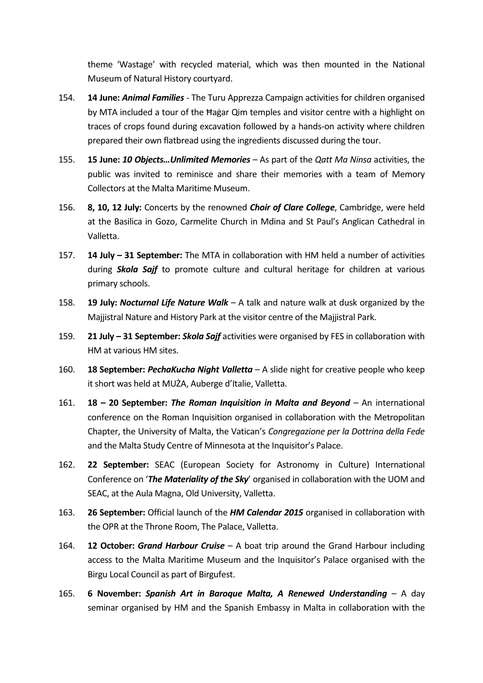theme 'Wastage' with recycled material, which was then mounted in the National Museum of Natural History courtyard.

- 154. **14 June: Animal Families** The Turu Apprezza Campaign activities for children organised by MTA included a tour of the Ħaġar Qim temples and visitor centre with a highlight on traces of crops found during excavation followed by a hands-on activity where children prepared their own flatbread using the ingredients discussed during the tour.
- 155. 15 June: 10 Objects... Unlimited Memories As part of the Qatt Ma Ninsa activities, the public was invited to reminisce and share their memories with a team of Memory Collectors at the Malta Maritime Museum.
- 156. 8, 10, 12 July: Concerts by the renowned *Choir of Clare College*, Cambridge, were held at the Basilica in Gozo, Carmelite Church in Mdina and St Paul's Anglican Cathedral in Valletta.
- 157. **14 July 31 September:** The MTA in collaboration with HM held a number of activities during **Skola Sajf** to promote culture and cultural heritage for children at various primary schools.
- 158. **19 July: Nocturnal Life Nature Walk** A talk and nature walk at dusk organized by the Majjistral Nature and History Park at the visitor centre of the Majjistral Park.
- 159. 21 July 31 September: *Skola Sajf* activities were organised by FES in collaboration with HM at various HM sites.
- 160. **18 September: PechaKucha Night Valletta** A slide night for creative people who keep it short was held at MUŻA, Auberge d'Italie, Valletta.
- 161. **18 20 September: The Roman Inquisition in Malta and Beyond** An international conference on the Roman Inquisition organised in collaboration with the Metropolitan Chapter, the University of Malta, the Vatican's Congregazione per la Dottrina della Fede and the Malta Study Centre of Minnesota at the Inquisitor's Palace.
- 162. 22 September: SEAC (European Society for Astronomy in Culture) International Conference on 'The Materiality of the Sky' organised in collaboration with the UOM and SEAC, at the Aula Magna, Old University, Valletta.
- 163. 26 September: Official launch of the HM Calendar 2015 organised in collaboration with the OPR at the Throne Room, The Palace, Valletta.
- 164. **12 October: Grand Harbour Cruise**  $-$  A boat trip around the Grand Harbour including access to the Malta Maritime Museum and the Inquisitor's Palace organised with the Birgu Local Council as part of Birgufest.
- 165. 6 November: Spanish Art in Baroque Malta, A Renewed Understanding  $-$  A day seminar organised by HM and the Spanish Embassy in Malta in collaboration with the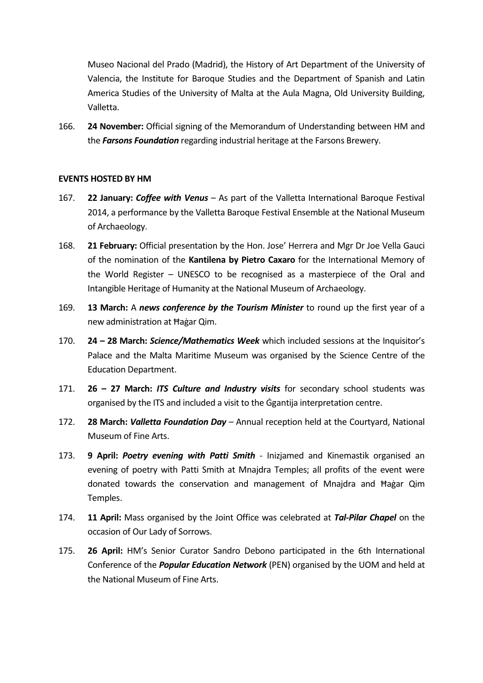Museo Nacional del Prado (Madrid), the History of Art Department of the University of Valencia, the Institute for Baroque Studies and the Department of Spanish and Latin America Studies of the University of Malta at the Aula Magna, Old University Building, Valletta.

166. 24 November: Official signing of the Memorandum of Understanding between HM and the Farsons Foundation regarding industrial heritage at the Farsons Brewery.

#### EVENTS HOSTED BY HM

- 167. 22 January: Coffee with Venus As part of the Valletta International Baroque Festival 2014, a performance by the Valletta Baroque Festival Ensemble at the National Museum of Archaeology.
- 168. 21 February: Official presentation by the Hon. Jose' Herrera and Mgr Dr Joe Vella Gauci of the nomination of the Kantilena by Pietro Caxaro for the International Memory of the World Register – UNESCO to be recognised as a masterpiece of the Oral and Intangible Heritage of Humanity at the National Museum of Archaeology.
- 169. 13 March: A news conference by the Tourism Minister to round up the first year of a new administration at Ħaġar Qim.
- 170. **24 28 March: Science/Mathematics Week** which included sessions at the Inquisitor's Palace and the Malta Maritime Museum was organised by the Science Centre of the Education Department.
- 171. **26 27 March: ITS Culture and Industry visits** for secondary school students was organised by the ITS and included a visit to the Ġgantija interpretation centre.
- 172. 28 March: Valletta Foundation Day Annual reception held at the Courtyard, National Museum of Fine Arts.
- 173. 9 April: Poetry evening with Patti Smith Inizjamed and Kinemastik organised an evening of poetry with Patti Smith at Mnajdra Temples; all profits of the event were donated towards the conservation and management of Mnajdra and Ħaġar Qim Temples.
- 174. **11 April:** Mass organised by the Joint Office was celebrated at Tal-Pilar Chapel on the occasion of Our Lady of Sorrows.
- 175. 26 April: HM's Senior Curator Sandro Debono participated in the 6th International Conference of the *Popular Education Network* (PEN) organised by the UOM and held at the National Museum of Fine Arts.